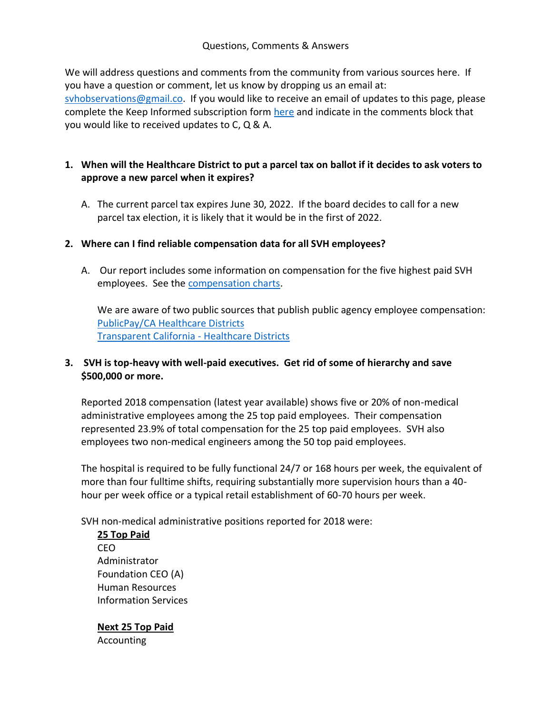#### Questions, Comments & Answers

We will address questions and comments from the community from various sources here. If you have a question or comment, let us know by dropping us an email at: syhobservations@gmail.co. If you would like to receive an email of updates to this page, please complete the Keep Informed subscription form [here](https://www.svhobservations.org/join-our-email-list) and indicate in the comments block that you would like to received updates to C, Q & A.

## **1. When will the Healthcare District to put a parcel tax on ballot if it decides to ask voters to approve a new parcel when it expires?**

A. The current parcel tax expires June 30, 2022. If the board decides to call for a new parcel tax election, it is likely that it would be in the first of 2022.

## **2. Where can I find reliable compensation data for all SVH employees?**

A. Our report includes some information on compensation for the five highest paid SVH employees. See the [compensation charts.](https://524d9320-51a1-4c87-9f85-afea37488016.filesusr.com/ugd/5970fc_8a90538b7e9b4f84b712a86870ce7d3c.pdf)

We are aware of two public sources that publish public agency employee compensation: PublicPay/CA Healthcare Districts [Transparent California -](https://transparentcalifornia.com/agencies/salaries/special-districts/#hospital) Healthcare Districts

## **3. SVH is top-heavy with well-paid executives. Get rid of some of hierarchy and save \$500,000 or more.**

Reported 2018 compensation (latest year available) shows five or 20% of non-medical administrative employees among the 25 top paid employees. Their compensation represented 23.9% of total compensation for the 25 top paid employees. SVH also employees two non-medical engineers among the 50 top paid employees.

The hospital is required to be fully functional 24/7 or 168 hours per week, the equivalent of more than four fulltime shifts, requiring substantially more supervision hours than a 40 hour per week office or a typical retail establishment of 60-70 hours per week.

SVH non-medical administrative positions reported for 2018 were:

**25 Top Paid** CEO Administrator Foundation CEO (A) Human Resources Information Services

**Next 25 Top Paid** Accounting